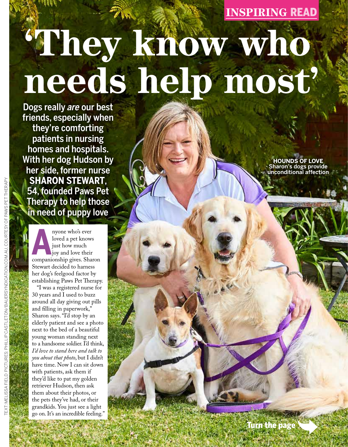### **INSPIRING** READ

# **'They know who needs help most'**

Dogs really *are* our best friends, especially when they're comforting patients in nursing homes and hospitals. With her dog Hudson by her side, former nurse **SHARON STEWART**, 54, founded Paws Pet Therapy to help those in need of puppy love

**A** companionship gives. Sharon nyone who's ever loved a pet knows just how much liov and love their Stewart decided to harness her dog's feelgood factor by establishing Paws Pet Therapy.

TEXT: MELISSA FIELD PICTURES: PHILLIP CASTLETON/BAUERSYNDICATION.COM.AU, COURTESY OF PAWS PET THERAPY

BAUFI

PICTURES

NDICATION COM

"I was a registered nurse for 30 years and I used to buzz around all day giving out pills and filling in paperwork," Sharon says. "I'd stop by an elderly patient and see a photo next to the bed of a beautiful young woman standing next to a handsome soldier. I'd think, *I'd love to stand here and talk to you about that photo*, but I didn't have time. Now I can sit down with patients, ask them if they'd like to pat my golden retriever Hudson, then ask them about their photos, or the pets they've had, or their grandkids. You just see a light go on. It's an incredible feeling."

**HOUNDS OF LOVE** Sharon's dogs provide unconditional affection

Turn the page